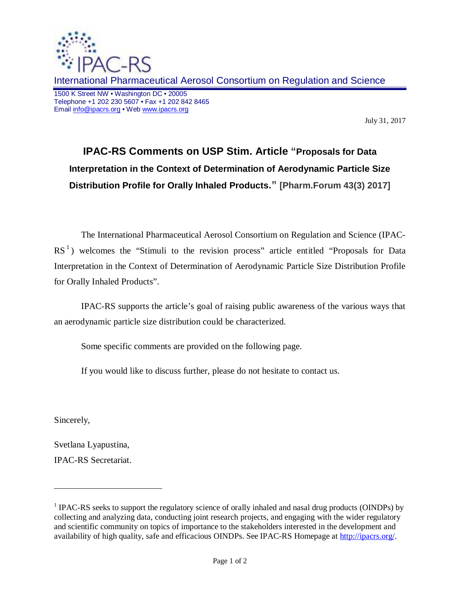

International Pharmaceutical Aerosol Consortium on Regulation and Science

1500 K Street NW • Washington DC • 20005 Telephone +1 202 230 5607 • Fax +1 202 842 8465 Email info@ipacrs.org • Web www.ipacrs.org

July 31, 2017

## **IPAC-RS Comments on USP Stim. Article "Proposals for Data Interpretation in the Context of Determination of Aerodynamic Particle Size Distribution Profile for Orally Inhaled Products." [Pharm.Forum 43(3) 2017]**

The International Pharmaceutical Aerosol Consortium on Regulation and Science (IPAC- $RS<sup>1</sup>$ ) welcomes the "Stimuli to the revision process" article entitled "Proposals for Data Interpretation in the Context of Determination of Aerodynamic Particle Size Distribution Profile for Orally Inhaled Products".

IPAC-RS supports the article's goal of raising public awareness of the various ways that an aerodynamic particle size distribution could be characterized.

Some specific comments are provided on the following page.

If you would like to discuss further, please do not hesitate to contact us.

Sincerely,

 $\overline{a}$ 

Svetlana Lyapustina,

IPAC-RS Secretariat.

<sup>&</sup>lt;sup>1</sup> IPAC-RS seeks to support the regulatory science of orally inhaled and nasal drug products (OINDPs) by collecting and analyzing data, conducting joint research projects, and engaging with the wider regulatory and scientific community on topics of importance to the stakeholders interested in the development and availability of high quality, safe and efficacious OINDPs. See IPAC-RS Homepage at http://ipacrs.org/.